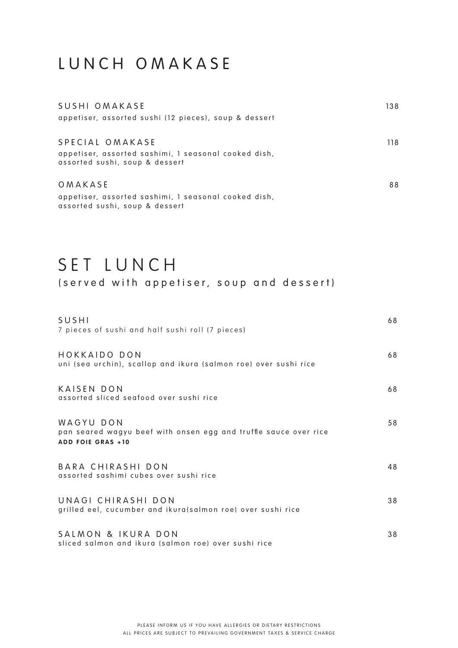#### LUNCH OMAKASE

| SUSHI OMAKASE<br>appetiser, assorted sushi (12 pieces), soup & dessert                                    | 138  |
|-----------------------------------------------------------------------------------------------------------|------|
| SPECIAL OMAKASE<br>appetiser, assorted sashimi, I seasonal cooked dish,<br>assorted sushi, soup & dessert | 118. |
| OMAKASE<br>appetiser, assorted sashimi, I seasonal cooked dish,<br>assorted sushi, soup & dessert         | 88   |

# SET LUNCH

(served with appetiser, soup and dessert)

| SUSHI<br>7 pieces of sushi and half sushi roll (7 pieces)                                                 | 68 |
|-----------------------------------------------------------------------------------------------------------|----|
| HOKKAIDO DON<br>uni (sea urchin), scallop and ikura (salmon roe) over sushi rice                          | 68 |
| KAISEN DON<br>assorted sliced seafood over sushi rice                                                     | 68 |
| WAGYU DON<br>pan seared wagyu beef with onsen egg and truffle sauce over rice<br><b>ADD FOIE GRAS +10</b> | 58 |
| BARA CHIRASHI DON<br>assorted sashimi cubes over sushi rice                                               | 48 |
| UNAGI CHIRASHI DON<br>grilled eel, cucumber and ikura(salmon roe) over sushi rice                         | 38 |
| SALMON & IKURA DON<br>sliced salmon and ikura (salmon roe) over sushi rice                                | 38 |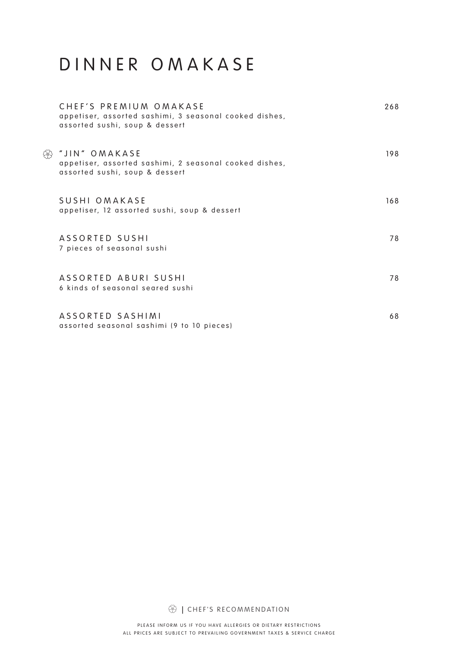# DINNER OMAKASE

|      | CHEF'S PREMIUM OMAKASE<br>appetiser, assorted sashimi, 3 seasonal cooked dishes,<br>assorted sushi, soup & dessert | 268 |
|------|--------------------------------------------------------------------------------------------------------------------|-----|
| දිවි | "JIN" OMAKASE<br>appetiser, assorted sashimi, 2 seasonal cooked dishes,<br>assorted sushi, soup & dessert          | 198 |
|      | SUSHI OMAKASE<br>appetiser, 12 assorted sushi, soup & dessert                                                      | 168 |
|      | ASSORTED SUSHI<br>7 pieces of seasonal sushi                                                                       | 78  |
|      | ASSORTED ABURI SUSHI<br>6 kinds of seasonal seared sushi                                                           | 78  |
|      | ASSORTED SASHIMI<br>assorted seasonal sashimi (9 to 10 pieces)                                                     | 68  |

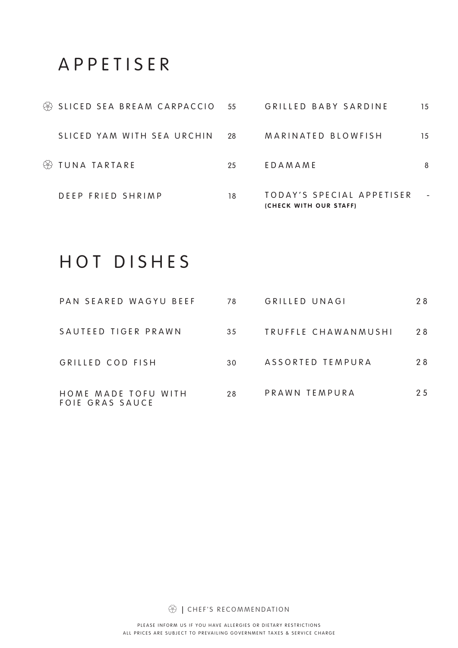#### APPETISER

| <sup><sup>3</sup> SLICED SEA BREAM CARPACCIO 55</sup> |     | GRILLED BABY SARDINE                                | 15 |
|-------------------------------------------------------|-----|-----------------------------------------------------|----|
| SLICED YAM WITH SEA URCHIN                            | -28 | MARINATED BLOWFISH                                  | 15 |
| <sup><sup>3</sup> TUNA TARTARE</sup>                  | 25  | EDAMAME                                             | 8  |
| DEEP FRIED SHRIMP                                     | 18  | TODAY'S SPECIAL APPETISER<br>(CHECK WITH OUR STAFF) |    |

# HOT DISHES

| PAN SEARED WAGYU BEEF                  | 78 | GRILLED UNAGI       | 28 |
|----------------------------------------|----|---------------------|----|
| SAUTEED TIGER PRAWN                    | 35 | TRUFFLE CHAWANMUSHI | 28 |
| GRILLED COD FISH                       | 30 | ASSORTED TEMPURA    | 28 |
| HOME MADE TOFU WITH<br>FOIE GRAS SAUCE | 28 | PRAWN TEMPURA       | 25 |

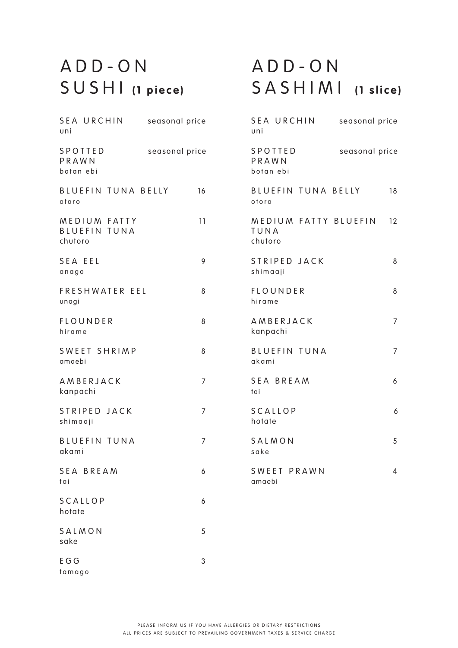# ADD-ON SUSHI **(1 piece )**

### ADD-ON SASHIMI **(1 slice )**

| <b>SEA URCHIN</b><br>uni                       | seasonal price | <b>SEA URCHIN</b><br>uni                | seasonal price |
|------------------------------------------------|----------------|-----------------------------------------|----------------|
| SPOTTED<br>PRAWN<br>botan ebi                  | seasonal price | SPOTTED<br>PRAWN<br>botan ebi           | seasonal price |
| BLUEFIN TUNA BELLY<br>otoro                    | 16             | <b>BLUEFIN TUNA BELLY</b><br>otoro      | 18             |
| MEDIUM FATTY<br><b>BLUEFIN TUNA</b><br>chutoro | 11             | MEDIUM FATTY BLUEFIN<br>TUNA<br>chutoro | 12             |
| SEA EEL<br>anago                               | 9              | STRIPED JACK<br>shimaaji                | 8              |
| FRESHWATER EEL<br>unagi                        | 8              | <b>FLOUNDER</b><br>hirame               | 8              |
| <b>FLOUNDER</b><br>hirame                      | 8              | AMBERJACK<br>kanpachi                   | $\overline{7}$ |
| SWEET SHRIMP<br>amaebi                         | 8              | <b>BLUEFIN TUNA</b><br>akami            | $\overline{7}$ |
| AMBERJACK<br>kanpachi                          | 7              | <b>SEA BREAM</b><br>tai                 | 6              |
| STRIPED JACK<br>shimaaji                       | $\overline{7}$ | <b>SCALLOP</b><br>hotate                | 6              |
| <b>BLUEFIN TUNA</b><br>akami                   | 7              | SALMON<br>sake                          | 5              |
| SEA BREAM<br>tai                               | 6              | SWEET PRAWN<br>amaebi                   | 4              |
| <b>SCALLOP</b><br>hotate                       | 6              |                                         |                |
| SALMON<br>sake                                 | 5              |                                         |                |
| E G G<br>tamago                                | 3              |                                         |                |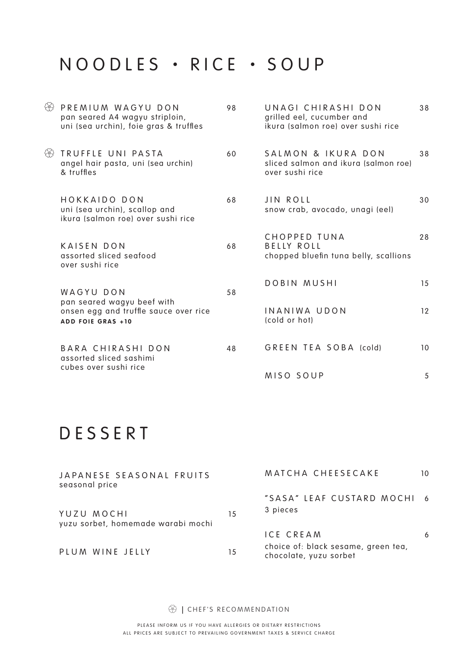## NOODLES • RICE • SOUP

| & | PREMIUM WAGYU DON<br>pan seared A4 wagyu striploin,<br>uni (sea urchin), foie gras & truffles | 98 | UNAGI CHIRASHI DON<br>grilled eel, cucumber and<br>ikura (salmon roe) over sushi rice | 38 |
|---|-----------------------------------------------------------------------------------------------|----|---------------------------------------------------------------------------------------|----|
|   | <sup>3</sup> TRUFFLE UNI PASTA<br>angel hair pasta, uni (sea urchin)<br>& truffles            | 60 | SALMON & IKURA DON<br>sliced salmon and ikura (salmon roe)<br>over sushi rice         | 38 |
|   | HOKKAIDO DON<br>uni (sea urchin), scallop and<br>ikura (salmon roe) over sushi rice           | 68 | JIN ROLL<br>snow crab, avocado, unagi (eel)                                           | 30 |
|   | <b>KAISEN DON</b><br>assorted sliced seafood<br>over sushi rice                               | 68 | <b>CHOPPED TUNA</b><br><b>BELLY ROLL</b><br>chopped bluefin tuna belly, scallions     | 28 |
|   | WAGYU DON<br>pan seared wagyu beef with                                                       | 58 | DOBIN MUSHI                                                                           | 15 |
|   | onsen egg and truffle sauce over rice<br><b>ADD FOIE GRAS +10</b>                             |    | INANIWA UDON<br>(cold or hot)                                                         | 12 |
|   | BARA CHIRASHI DON<br>assorted sliced sashimi<br>cubes over sushi rice                         | 48 | GREEN TEA SOBA (cold)                                                                 | 10 |
|   |                                                                                               |    | MISO SOUP                                                                             | 5  |

# DESSERT

| JAPANESE SEASONAL FRUITS<br>seasonal price       |    | MATCHA CHEESECAKE                                             | 10 |
|--------------------------------------------------|----|---------------------------------------------------------------|----|
|                                                  |    | "SASA" LEAF CUSTARD MOCHI 6                                   |    |
| YUZU MOCHI<br>yuzu sorbet, homemade warabi mochi | 15 | 3 pieces                                                      |    |
|                                                  |    | <b>ICE CREAM</b>                                              | 6  |
| PLUM WINE JELLY                                  | 15 | choice of: black sesame, green tea,<br>chocolate, yuzu sorbet |    |

**<sup>|</sup>** CHEF'S RECOMMENDATION